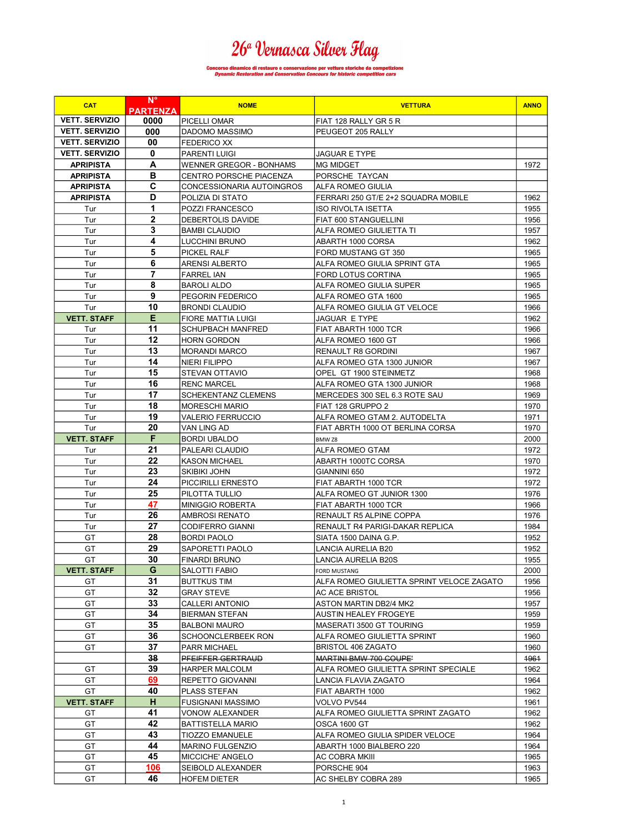# 26ª Vernasca Silver Flag

## ncorso dinamico di restauro e conservazione per vetture storiche da competizione<br>*Dynamic Restoration and Conservation Concours for historic competition cars*

| <b>CAT</b>            | $N^{\circ}$<br><b>PARTENZA</b> | <b>NOME</b>                    | <b>VETTURA</b>                            | <b>ANNO</b> |
|-----------------------|--------------------------------|--------------------------------|-------------------------------------------|-------------|
| <b>VETT. SERVIZIO</b> | 0000                           | PICELLI OMAR                   | FIAT 128 RALLY GR 5 R                     |             |
| <b>VETT, SERVIZIO</b> | 000                            | DADOMO MASSIMO                 | PEUGEOT 205 RALLY                         |             |
| <b>VETT. SERVIZIO</b> | 00                             | <b>FEDERICO XX</b>             |                                           |             |
| <b>VETT. SERVIZIO</b> | 0                              | PARENTI LUIGI                  | <b>JAGUAR E TYPE</b>                      |             |
| <b>APRIPISTA</b>      | A                              | <b>WENNER GREGOR - BONHAMS</b> | <b>MG MIDGET</b>                          | 1972        |
| <b>APRIPISTA</b>      | в                              | CENTRO PORSCHE PIACENZA        | PORSCHE TAYCAN                            |             |
| <b>APRIPISTA</b>      | C                              | CONCESSIONARIA AUTOINGROS      | <b>ALFA ROMEO GIULIA</b>                  |             |
| <b>APRIPISTA</b>      | D                              | POLIZIA DI STATO               | FERRARI 250 GT/E 2+2 SQUADRA MOBILE       | 1962        |
| Tur                   | 1                              | POZZI FRANCESCO                | <b>ISO RIVOLTA ISETTA</b>                 | 1955        |
| Tur                   | $\mathbf{2}$                   | DEBERTOLIS DAVIDE              | <b>FIAT 600 STANGUELLINI</b>              | 1956        |
| Tur                   | 3                              | <b>BAMBI CLAUDIO</b>           | ALFA ROMEO GIULIETTA TI                   | 1957        |
| Tur                   | 4                              | LUCCHINI BRUNO                 | ABARTH 1000 CORSA                         | 1962        |
| Tur                   | 5                              | PICKEL RALF                    | FORD MUSTANG GT 350                       | 1965        |
| Tur                   | 6                              | ARENSI ALBERTO                 | ALFA ROMEO GIULIA SPRINT GTA              | 1965        |
| Tur                   | 7                              | <b>FARREL IAN</b>              | <b>FORD LOTUS CORTINA</b>                 | 1965        |
| Tur                   | 8                              | BAROLI ALDO                    | ALFA ROMEO GIULIA SUPER                   | 1965        |
| Tur                   | 9                              | PEGORIN FEDERICO               | ALFA ROMEO GTA 1600                       | 1965        |
| Tur                   | 10                             | <b>BRONDI CLAUDIO</b>          | ALFA ROMEO GIULIA GT VELOCE               | 1966        |
| <b>VETT. STAFF</b>    | Е                              | <b>FIORE MATTIA LUIGI</b>      | <b>JAGUAR E TYPE</b>                      | 1962        |
|                       | 11                             |                                | FIAT ABARTH 1000 TCR                      | 1966        |
| Tur                   | 12                             | <b>SCHUPBACH MANFRED</b>       |                                           |             |
| Tur                   | 13                             | <b>HORN GORDON</b>             | ALFA ROMEO 1600 GT                        | 1966        |
| Tur                   |                                | <b>MORANDI MARCO</b>           | <b>RENAULT R8 GORDINI</b>                 | 1967        |
| Tur                   | 14                             | <b>NIERI FILIPPO</b>           | ALFA ROMEO GTA 1300 JUNIOR                | 1967        |
| Tur                   | 15                             | <b>STEVAN OTTAVIO</b>          | OPEL GT 1900 STEINMETZ                    | 1968        |
| Tur                   | 16                             | <b>RENC MARCEL</b>             | ALFA ROMEO GTA 1300 JUNIOR                | 1968        |
| Tur                   | 17                             | <b>SCHEKENTANZ CLEMENS</b>     | MERCEDES 300 SEL 6.3 ROTE SAU             | 1969        |
| Tur                   | 18                             | <b>MORESCHI MARIO</b>          | FIAT 128 GRUPPO 2                         | 1970        |
| Tur                   | 19                             | <b>VALERIO FERRUCCIO</b>       | ALFA ROMEO GTAM 2. AUTODELTA              | 1971        |
| Tur                   | 20                             | VAN LING AD                    | FIAT ABRTH 1000 OT BERLINA CORSA          | 1970        |
| <b>VETT. STAFF</b>    | F                              | <b>BORDI UBALDO</b>            | BMW <sub>Z8</sub>                         | 2000        |
| Tur                   | 21                             | PALEARI CLAUDIO                | ALFA ROMEO GTAM                           | 1972        |
| Tur                   | 22                             | <b>KASON MICHAEL</b>           | ABARTH 1000TC CORSA                       | 1970        |
| Tur                   | 23                             | SKIBIKI JOHN                   | GIANNINI 650                              | 1972        |
| Tur                   | 24                             | PICCIRILLI ERNESTO             | FIAT ABARTH 1000 TCR                      | 1972        |
| Tur                   | 25                             | PILOTTA TULLIO                 | ALFA ROMEO GT JUNIOR 1300                 | 1976        |
| Tur                   | 47                             | MINIGGIO ROBERTA               | FIAT ABARTH 1000 TCR                      | 1966        |
| Tur                   | 26                             | AMBROSI RENATO                 | RENAULT R5 ALPINE COPPA                   | 1976        |
| Tur                   | 27                             | <b>CODIFERRO GIANNI</b>        | RENAULT R4 PARIGI-DAKAR REPLICA           | 1984        |
| GT                    | 28                             | BORDI PAOLO                    | SIATA 1500 DAINA G.P.                     | 1952        |
| GT                    | 29                             | SAPORETTI PAOLO                | LANCIA AURELIA B20                        | 1952        |
| GT                    | 30                             | <b>FINARDI BRUNO</b>           | LANCIA AURELIA B20S                       | 1955        |
| <b>VETT. STAFF</b>    | G                              | SALOTTI FABIO                  | <b>FORD MUSTANG</b>                       | 2000        |
| GT                    | 31                             | <b>BUTTKUS TIM</b>             | ALFA ROMEO GIULIETTA SPRINT VELOCE ZAGATO | 1956        |
| GT                    | 32                             | GRAY STEVE                     | <b>AC ACE BRISTOL</b>                     | 1956        |
| GT                    | 33                             | <b>CALLERI ANTONIO</b>         | <b>ASTON MARTIN DB2/4 MK2</b>             | 1957        |
| GT                    | 34                             | <b>BIERMAN STEFAN</b>          | AUSTIN HEALEY FROGEYE                     | 1959        |
| GT                    | 35                             | <b>BALBONI MAURO</b>           | MASERATI 3500 GT TOURING                  | 1959        |
| GT                    | 36                             | <b>SCHOONCLERBEEK RON</b>      | ALFA ROMEO GIULIETTA SPRINT               | 1960        |
| GT                    | 37                             | PARR MICHAEL                   | BRISTOL 406 ZAGATO                        | 1960        |
|                       | 38                             | PFEIFFER GERTRAUD              | MARTINI BMW 700 COUPE'                    | 1961        |
| GT                    | 39                             | <b>HARPER MALCOLM</b>          | ALFA ROMEO GIULIETTA SPRINT SPECIALE      | 1962        |
| GT                    | 69                             | REPETTO GIOVANNI               | <b>LANCIA FLAVIA ZAGATO</b>               | 1964        |
| GT                    | 40                             | PLASS STEFAN                   | FIAT ABARTH 1000                          | 1962        |
| <b>VETT. STAFF</b>    | н                              | <b>FUSIGNANI MASSIMO</b>       | VOLVO PV544                               | 1961        |
| GT                    | 41                             | VONOW ALEXANDER                | ALFA ROMEO GIULIETTA SPRINT ZAGATO        | 1962        |
| GT                    | 42                             | <b>BATTISTELLA MARIO</b>       | OSCA 1600 GT                              | 1962        |
| GT                    | 43                             | TIOZZO EMANUELE                | ALFA ROMEO GIULIA SPIDER VELOCE           | 1964        |
| GT                    | 44                             | <b>MARINO FULGENZIO</b>        | ABARTH 1000 BIALBERO 220                  | 1964        |
| GT                    | 45                             | MICCICHE' ANGELO               | AC COBRA MKIII                            | 1965        |
| GT                    | 106                            | SEIBOLD ALEXANDER              | PORSCHE 904                               | 1963        |
| GT                    | 46                             | <b>HOFEM DIETER</b>            | AC SHELBY COBRA 289                       | 1965        |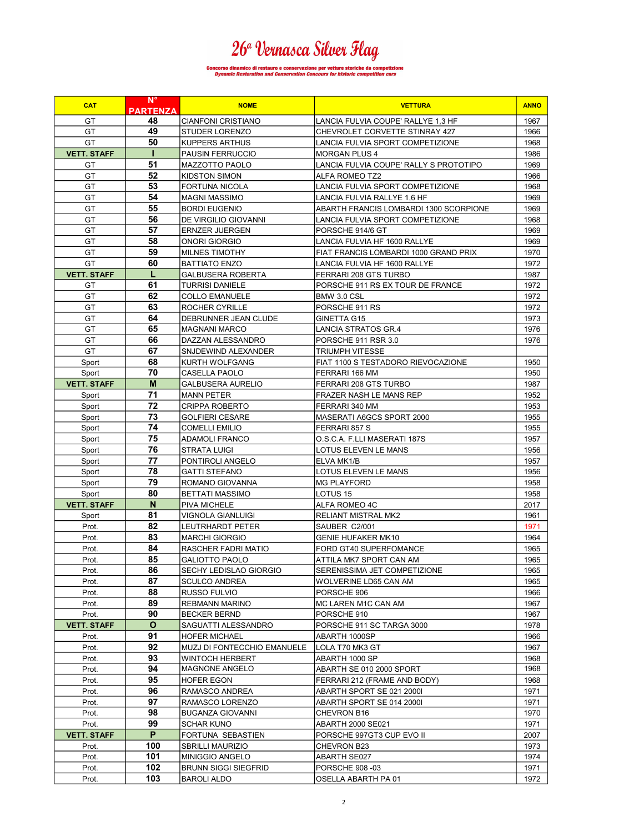# 26ª Vernasca Silver Flag

## ncorso dinamico di restauro e conservazione per vetture storiche da competizione<br>Dynamic Restoration and Conservation Concours for historic competition cars

| <b>CAT</b>         | $N^{\circ}$<br><b>PARTENZA</b> | <b>NOME</b>                                  | <b>VETTURA</b>                         | <b>ANNO</b>  |
|--------------------|--------------------------------|----------------------------------------------|----------------------------------------|--------------|
| GT                 | 48                             | <b>CIANFONI CRISTIANO</b>                    | LANCIA FULVIA COUPE' RALLYE 1,3 HF     | 1967         |
| GT                 | 49                             | <b>STUDER LORENZO</b>                        | CHEVROLET CORVETTE STINRAY 427         | 1966         |
| GT                 | 50                             | <b>KUPPERS ARTHUS</b>                        | LANCIA FULVIA SPORT COMPETIZIONE       | 1968         |
| <b>VETT. STAFF</b> | н                              | <b>PAUSIN FERRUCCIO</b>                      | <b>MORGAN PLUS 4</b>                   | 1986         |
| GT                 | 51                             | MAZZOTTO PAOLO                               | LANCIA FULVIA COUPE' RALLY S PROTOTIPO | 1969         |
| GT                 | 52                             | KIDSTON SIMON                                | <b>ALFA ROMEO TZ2</b>                  | 1966         |
| GT                 | 53                             | FORTUNA NICOLA                               | LANCIA FULVIA SPORT COMPETIZIONE       | 1968         |
| GT                 | 54                             | MAGNI MASSIMO                                | LANCIA FULVIA RALLYE 1,6 HF            | 1969         |
| GT                 | 55                             | <b>BORDI EUGENIO</b>                         | ABARTH FRANCIS LOMBARDI 1300 SCORPIONE | 1969         |
|                    | 56                             |                                              |                                        |              |
| GT                 |                                | DE VIRGILIO GIOVANNI                         | LANCIA FULVIA SPORT COMPETIZIONE       | 1968         |
| GT                 | 57                             | <b>ERNZER JUERGEN</b>                        | PORSCHE 914/6 GT                       | 1969         |
| GT                 | 58                             | ONORI GIORGIO                                | LANCIA FULVIA HF 1600 RALLYE           | 1969         |
| GT                 | 59                             | <b>MILNES TIMOTHY</b>                        | FIAT FRANCIS LOMBARDI 1000 GRAND PRIX  | 1970         |
| GT                 | 60                             | <b>BATTIATO ENZO</b>                         | LANCIA FULVIA HF 1600 RALLYE           | 1972         |
| <b>VETT. STAFF</b> | L                              | <b>GALBUSERA ROBERTA</b>                     | FERRARI 208 GTS TURBO                  | 1987         |
| GT                 | 61                             | <b>TURRISI DANIELE</b>                       | PORSCHE 911 RS EX TOUR DE FRANCE       | 1972         |
| GT                 | 62                             | <b>COLLO EMANUELE</b>                        | BMW 3.0 CSL                            | 1972         |
| GT                 | 63                             | ROCHER CYRILLE                               | PORSCHE 911 RS                         | 1972         |
| GT                 | 64                             | DEBRUNNER JEAN CLUDE                         | GINETTA G15                            | 1973         |
| GT                 | 65                             | <b>MAGNANI MARCO</b>                         | LANCIA STRATOS GR.4                    | 1976         |
| GT                 | 66                             | DAZZAN ALESSANDRO                            | PORSCHE 911 RSR 3.0                    | 1976         |
| GT                 | 67                             | SNJDEWIND ALEXANDER                          | <b>TRIUMPH VITESSE</b>                 |              |
| Sport              | 68                             | KURTH WOLFGANG                               | FIAT 1100 S TESTADORO RIEVOCAZIONE     | 1950         |
| Sport              | 70                             | CASELLA PAOLO                                | FERRARI 166 MM                         | 1950         |
| <b>VETT. STAFF</b> | M                              | <b>GALBUSERA AURELIO</b>                     | FERRARI 208 GTS TURBO                  | 1987         |
| Sport              | 71                             | <b>MANN PETER</b>                            | FRAZER NASH LE MANS REP                | 1952         |
| Sport              | 72                             | <b>CRIPPA ROBERTO</b>                        | FERRARI 340 MM                         | 1953         |
| Sport              | 73                             | <b>GOLFIERI CESARE</b>                       | MASERATI A6GCS SPORT 2000              | 1955         |
| Sport              | 74                             | <b>COMELLI EMILIO</b>                        | FERRARI 857 S                          | 1955         |
| Sport              | 75                             | <b>ADAMOLI FRANCO</b>                        | O.S.C.A. F.LLI MASERATI 187S           | 1957         |
| Sport              | 76                             | STRATA LUIGI                                 | LOTUS ELEVEN LE MANS                   | 1956         |
| Sport              | 77                             | PONTIROLI ANGELO                             | ELVA MK1/B                             | 1957         |
| Sport              | 78                             | <b>GATTI STEFANO</b>                         | LOTUS ELEVEN LE MANS                   | 1956         |
| Sport              | 79                             | ROMANO GIOVANNA                              | <b>MG PLAYFORD</b>                     | 1958         |
| Sport              | 80                             | BETTATI MASSIMO                              | LOTUS 15                               | 1958         |
| <b>VETT. STAFF</b> | N                              | <b>PIVA MICHELE</b>                          | ALFA ROMEO 4C                          | 2017         |
| Sport              | 81                             | VIGNOLA GIANLUIGI                            | <b>RELIANT MISTRAL MK2</b>             | 1961         |
| Prot.              | 82                             | LEUTRHARDT PETER                             | SAUBER C2/001                          | 1971         |
| Prot.              | 83                             | <b>MARCHI GIORGIO</b>                        | <b>GENIE HUFAKER MK10</b>              | 1964         |
| Prot.              | 84                             | RASCHER FADRI MATIO                          | FORD GT40 SUPERFOMANCE                 | 1965         |
| Prot.              | 85                             | <b>GALIOTTO PAOLO</b>                        | ATTILA MK7 SPORT CAN AM                | 1965         |
| Prot.              | 86                             | SECHY LEDISLAO GIORGIO                       | SERENISSIMA JET COMPETIZIONE           | 1965         |
| Prot.              | 87                             | <b>SCULCO ANDREA</b>                         | WOLVERINE LD65 CAN AM                  | 1965         |
| Prot.              | 88                             | RUSSO FULVIO                                 | PORSCHE 906                            | 1966         |
| Prot.              | 89                             | REBMANN MARINO                               | MC LAREN M1C CAN AM                    | 1967         |
| Prot.              | 90                             | <b>BECKER BERND</b>                          | PORSCHE 910                            | 1967         |
| <b>VETT. STAFF</b> | $\mathbf{o}$                   | SAGUATTI ALESSANDRO                          | PORSCHE 911 SC TARGA 3000              | 1978         |
| Prot.              | 91                             |                                              | ABARTH 1000SP                          | 1966         |
|                    | 92                             | HOFER MICHAEL<br>MUZJ DI FONTECCHIO EMANUELE | LOLA T70 MK3 GT                        |              |
| Prot.              |                                |                                              |                                        | 1967         |
| Prot.              | 93                             | WINTOCH HERBERT<br>MAGNONE ANGELO            | ABARTH 1000 SP                         | 1968<br>1968 |
| Prot.              | 94                             |                                              | ABARTH SE 010 2000 SPORT               |              |
| Prot.              | 95                             | HOFER EGON                                   | FERRARI 212 (FRAME AND BODY)           | 1968         |
| Prot.              | 96                             | RAMASCO ANDREA                               | ABARTH SPORT SE 021 2000I              | 1971         |
| Prot.              | 97                             | RAMASCO LORENZO                              | ABARTH SPORT SE 014 2000I              | 1971         |
| Prot.              | 98                             | <b>BUGANZA GIOVANNI</b>                      | CHEVRON B16                            | 1970         |
| Prot.              | 99                             | SCHAR KUNO                                   | <b>ABARTH 2000 SE021</b>               | 1971         |
| <b>VETT. STAFF</b> | P                              | FORTUNA SEBASTIEN                            | PORSCHE 997GT3 CUP EVO II              | 2007         |
| Prot.              | 100                            | <b>SBRILLI MAURIZIO</b>                      | CHEVRON B23                            | 1973         |
| Prot.              | 101                            | MINIGGIO ANGELO                              | ABARTH SE027                           | 1974         |
| Prot.              | 102                            | <b>BRUNN SIGGI SIEGFRID</b>                  | PORSCHE 908 -03                        | 1971         |
| Prot.              | 103                            | BAROLI ALDO                                  | OSELLA ABARTH PA 01                    | 1972         |